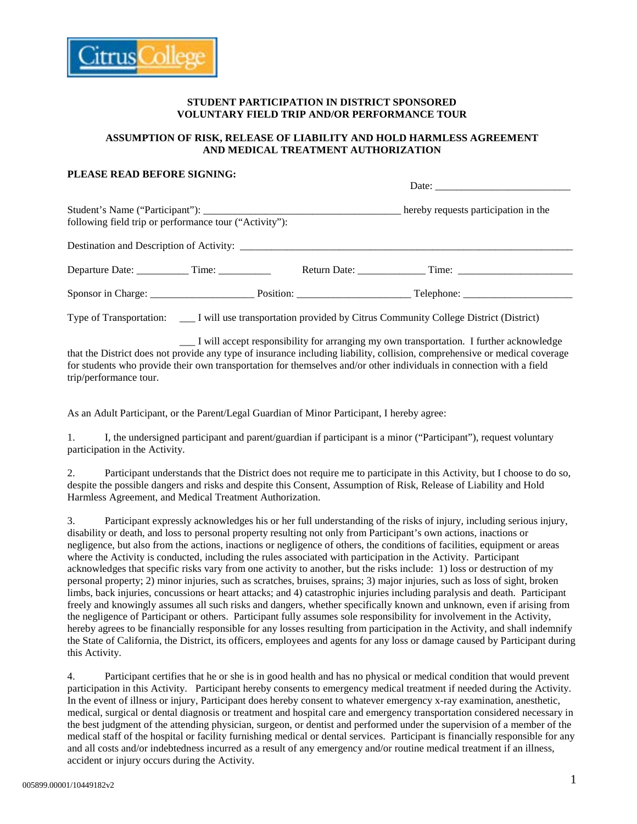

## **STUDENT PARTICIPATION IN DISTRICT SPONSORED VOLUNTARY FIELD TRIP AND/OR PERFORMANCE TOUR**

## **ASSUMPTION OF RISK, RELEASE OF LIABILITY AND HOLD HARMLESS AGREEMENT AND MEDICAL TREATMENT AUTHORIZATION**

Date:

## **PLEASE READ BEFORE SIGNING:**

| Student's Name ("Participant"):<br>following field trip or performance tour ("Activity"): |  |  | hereby requests participation in the |
|-------------------------------------------------------------------------------------------|--|--|--------------------------------------|
|                                                                                           |  |  |                                      |
|                                                                                           |  |  | Return Date: Time:                   |
|                                                                                           |  |  |                                      |

Type of Transportation: \_\_\_ I will use transportation provided by Citrus Community College District (District)

\_\_\_ I will accept responsibility for arranging my own transportation. I further acknowledge that the District does not provide any type of insurance including liability, collision, comprehensive or medical coverage for students who provide their own transportation for themselves and/or other individuals in connection with a field trip/performance tour.

As an Adult Participant, or the Parent/Legal Guardian of Minor Participant, I hereby agree:

1. I, the undersigned participant and parent/guardian if participant is a minor ("Participant"), request voluntary participation in the Activity.

2. Participant understands that the District does not require me to participate in this Activity, but I choose to do so, despite the possible dangers and risks and despite this Consent, Assumption of Risk, Release of Liability and Hold Harmless Agreement, and Medical Treatment Authorization.

3. Participant expressly acknowledges his or her full understanding of the risks of injury, including serious injury, disability or death, and loss to personal property resulting not only from Participant's own actions, inactions or negligence, but also from the actions, inactions or negligence of others, the conditions of facilities, equipment or areas where the Activity is conducted, including the rules associated with participation in the Activity. Participant acknowledges that specific risks vary from one activity to another, but the risks include: 1) loss or destruction of my personal property; 2) minor injuries, such as scratches, bruises, sprains; 3) major injuries, such as loss of sight, broken limbs, back injuries, concussions or heart attacks; and 4) catastrophic injuries including paralysis and death. Participant freely and knowingly assumes all such risks and dangers, whether specifically known and unknown, even if arising from the negligence of Participant or others. Participant fully assumes sole responsibility for involvement in the Activity, hereby agrees to be financially responsible for any losses resulting from participation in the Activity, and shall indemnify the State of California, the District, its officers, employees and agents for any loss or damage caused by Participant during this Activity.

4. Participant certifies that he or she is in good health and has no physical or medical condition that would prevent participation in this Activity. Participant hereby consents to emergency medical treatment if needed during the Activity. In the event of illness or injury, Participant does hereby consent to whatever emergency x-ray examination, anesthetic, medical, surgical or dental diagnosis or treatment and hospital care and emergency transportation considered necessary in the best judgment of the attending physician, surgeon, or dentist and performed under the supervision of a member of the medical staff of the hospital or facility furnishing medical or dental services. Participant is financially responsible for any and all costs and/or indebtedness incurred as a result of any emergency and/or routine medical treatment if an illness, accident or injury occurs during the Activity.